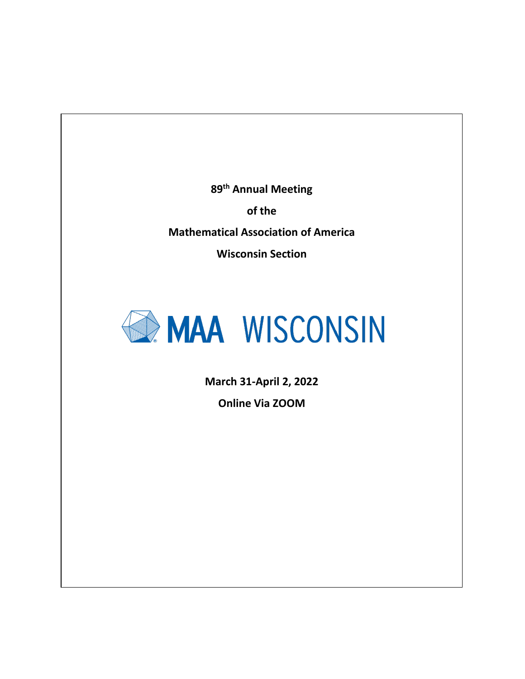**89 th Annual Meeting**

**of the**

**Mathematical Association of America**

**Wisconsin Section**



**March 31-April 2, 2022**

**Online Via ZOOM**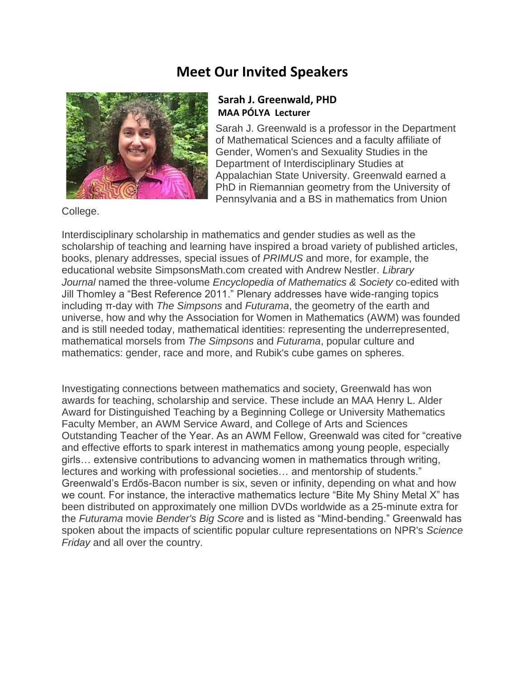## **Meet Our Invited Speakers**



#### **Sarah J. Greenwald, PHD MAA PÓLYA Lecturer**

Sarah J. Greenwald is a professor in the Department of Mathematical Sciences and a faculty affiliate of Gender, Women's and Sexuality Studies in the Department of Interdisciplinary Studies at Appalachian State University. Greenwald earned a PhD in Riemannian geometry from the University of Pennsylvania and a BS in mathematics from Union

College.

Interdisciplinary scholarship in mathematics and gender studies as well as the scholarship of teaching and learning have inspired a broad variety of published articles, books, plenary addresses, special issues of *PRIMUS* and more, for example, the educational website SimpsonsMath.com created with Andrew Nestler. *Library Journal* named the three-volume *Encyclopedia of Mathematics & Society* co-edited with Jill Thomley a "Best Reference 2011." Plenary addresses have wide-ranging topics including π-day with *The Simpsons* and *Futurama*, the geometry of the earth and universe, how and why the Association for Women in Mathematics (AWM) was founded and is still needed today, mathematical identities: representing the underrepresented, mathematical morsels from *The Simpsons* and *Futurama*, popular culture and mathematics: gender, race and more, and Rubik's cube games on spheres.

Investigating connections between mathematics and society, Greenwald has won awards for teaching, scholarship and service. These include an MAA Henry L. Alder Award for Distinguished Teaching by a Beginning College or University Mathematics Faculty Member, an AWM Service Award, and College of Arts and Sciences Outstanding Teacher of the Year. As an AWM Fellow, Greenwald was cited for "creative and effective efforts to spark interest in mathematics among young people, especially girls… extensive contributions to advancing women in mathematics through writing, lectures and working with professional societies… and mentorship of students." Greenwald's Erdős-Bacon number is six, seven or infinity, depending on what and how we count. For instance, the interactive mathematics lecture "Bite My Shiny Metal X" has been distributed on approximately one million DVDs worldwide as a 25-minute extra for the *Futurama* movie *Bender's Big Score* and is listed as "Mind-bending." Greenwald has spoken about the impacts of scientific popular culture representations on NPR's *Science Friday* and all over the country.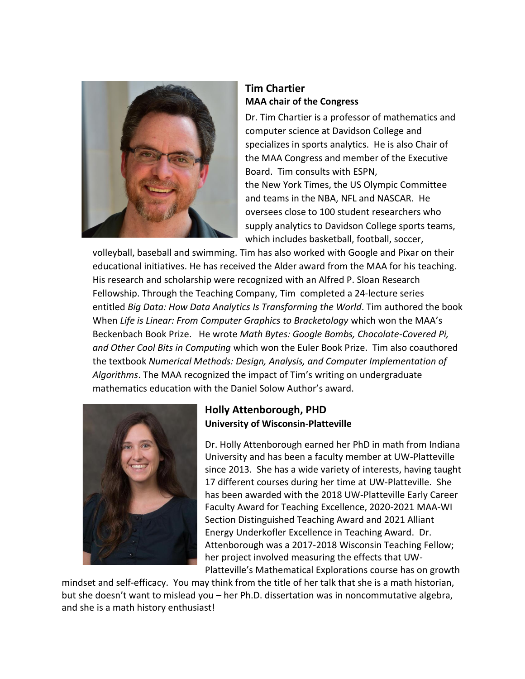

#### **Tim Chartier MAA chair of the Congress**

Dr. Tim Chartier is a professor of mathematics and computer science at Davidson College and specializes in sports analytics. He is also Chair of the MAA Congress and member of the Executive Board. Tim consults with ESPN, the New York Times, the US Olympic Committee and teams in the NBA, NFL and NASCAR. He oversees close to 100 student researchers who supply analytics to Davidson College sports teams, which includes basketball, football, soccer,

volleyball, baseball and swimming. Tim has also worked with Google and Pixar on their educational initiatives. He has received the Alder award from the MAA for his teaching. His research and scholarship were recognized with an Alfred P. Sloan Research Fellowship. Through the Teaching Company, Tim completed a 24-lecture series entitled *Big Data: How Data Analytics Is Transforming the World*. Tim authored the book When *Life is Linear: From Computer Graphics to Bracketology* which won the MAA's Beckenbach Book Prize. He wrote *Math Bytes: Google Bombs, Chocolate-Covered Pi, and Other Cool Bits in Computing* which won the Euler Book Prize. Tim also coauthored the textbook *Numerical Methods: Design, Analysis, and Computer Implementation of Algorithms*. The MAA recognized the impact of Tim's writing on undergraduate mathematics education with the Daniel Solow Author's award.



#### **Holly Attenborough, PHD University of Wisconsin-Platteville**

Dr. Holly Attenborough earned her PhD in math from Indiana University and has been a faculty member at UW-Platteville since 2013. She has a wide variety of interests, having taught 17 different courses during her time at UW-Platteville. She has been awarded with the 2018 UW-Platteville Early Career Faculty Award for Teaching Excellence, 2020-2021 MAA-WI Section Distinguished Teaching Award and 2021 Alliant Energy Underkofler Excellence in Teaching Award. Dr. Attenborough was a 2017-2018 Wisconsin Teaching Fellow; her project involved measuring the effects that UW-Platteville's Mathematical Explorations course has on growth

mindset and self-efficacy. You may think from the title of her talk that she is a math historian, but she doesn't want to mislead you – her Ph.D. dissertation was in noncommutative algebra, and she is a math history enthusiast!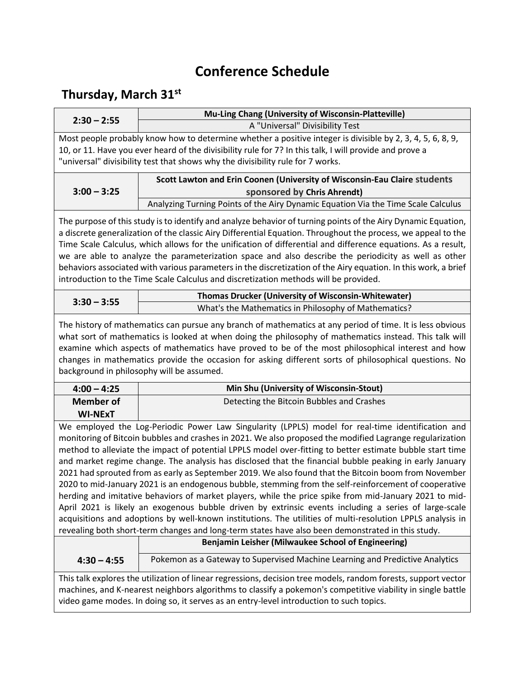## **Conference Schedule**

### **Thursday, March 31st**

| $2:30 - 2:55$                                                                                                                                                                                                                                                                                                                                                                                                                                                                                                                                                                                                                                                                                                                                                                                                                                                                                                                                                                                                                                                                                                                                                                                                                         | Mu-Ling Chang (University of Wisconsin-Platteville)                                                        |  |
|---------------------------------------------------------------------------------------------------------------------------------------------------------------------------------------------------------------------------------------------------------------------------------------------------------------------------------------------------------------------------------------------------------------------------------------------------------------------------------------------------------------------------------------------------------------------------------------------------------------------------------------------------------------------------------------------------------------------------------------------------------------------------------------------------------------------------------------------------------------------------------------------------------------------------------------------------------------------------------------------------------------------------------------------------------------------------------------------------------------------------------------------------------------------------------------------------------------------------------------|------------------------------------------------------------------------------------------------------------|--|
|                                                                                                                                                                                                                                                                                                                                                                                                                                                                                                                                                                                                                                                                                                                                                                                                                                                                                                                                                                                                                                                                                                                                                                                                                                       | A "Universal" Divisibility Test                                                                            |  |
|                                                                                                                                                                                                                                                                                                                                                                                                                                                                                                                                                                                                                                                                                                                                                                                                                                                                                                                                                                                                                                                                                                                                                                                                                                       | Most people probably know how to determine whether a positive integer is divisible by 2, 3, 4, 5, 6, 8, 9, |  |
|                                                                                                                                                                                                                                                                                                                                                                                                                                                                                                                                                                                                                                                                                                                                                                                                                                                                                                                                                                                                                                                                                                                                                                                                                                       | 10, or 11. Have you ever heard of the divisibility rule for 7? In this talk, I will provide and prove a    |  |
|                                                                                                                                                                                                                                                                                                                                                                                                                                                                                                                                                                                                                                                                                                                                                                                                                                                                                                                                                                                                                                                                                                                                                                                                                                       | "universal" divisibility test that shows why the divisibility rule for 7 works.                            |  |
| Scott Lawton and Erin Coonen (University of Wisconsin-Eau Claire students                                                                                                                                                                                                                                                                                                                                                                                                                                                                                                                                                                                                                                                                                                                                                                                                                                                                                                                                                                                                                                                                                                                                                             |                                                                                                            |  |
| $3:00 - 3:25$                                                                                                                                                                                                                                                                                                                                                                                                                                                                                                                                                                                                                                                                                                                                                                                                                                                                                                                                                                                                                                                                                                                                                                                                                         | sponsored by Chris Ahrendt)                                                                                |  |
|                                                                                                                                                                                                                                                                                                                                                                                                                                                                                                                                                                                                                                                                                                                                                                                                                                                                                                                                                                                                                                                                                                                                                                                                                                       | Analyzing Turning Points of the Airy Dynamic Equation Via the Time Scale Calculus                          |  |
| The purpose of this study is to identify and analyze behavior of turning points of the Airy Dynamic Equation,<br>a discrete generalization of the classic Airy Differential Equation. Throughout the process, we appeal to the<br>Time Scale Calculus, which allows for the unification of differential and difference equations. As a result,<br>we are able to analyze the parameterization space and also describe the periodicity as well as other<br>behaviors associated with various parameters in the discretization of the Airy equation. In this work, a brief<br>introduction to the Time Scale Calculus and discretization methods will be provided.<br>Thomas Drucker (University of Wisconsin-Whitewater)<br>$3:30 - 3:55$<br>What's the Mathematics in Philosophy of Mathematics?<br>The history of mathematics can pursue any branch of mathematics at any period of time. It is less obvious<br>what sort of mathematics is looked at when doing the philosophy of mathematics instead. This talk will<br>examine which aspects of mathematics have proved to be of the most philosophical interest and how<br>changes in mathematics provide the occasion for asking different sorts of philosophical questions. No |                                                                                                            |  |
|                                                                                                                                                                                                                                                                                                                                                                                                                                                                                                                                                                                                                                                                                                                                                                                                                                                                                                                                                                                                                                                                                                                                                                                                                                       | background in philosophy will be assumed.                                                                  |  |
| $4:00 - 4:25$                                                                                                                                                                                                                                                                                                                                                                                                                                                                                                                                                                                                                                                                                                                                                                                                                                                                                                                                                                                                                                                                                                                                                                                                                         | Min Shu (University of Wisconsin-Stout)                                                                    |  |
| <b>Member of</b>                                                                                                                                                                                                                                                                                                                                                                                                                                                                                                                                                                                                                                                                                                                                                                                                                                                                                                                                                                                                                                                                                                                                                                                                                      | Detecting the Bitcoin Bubbles and Crashes                                                                  |  |
| <b>WI-NExT</b>                                                                                                                                                                                                                                                                                                                                                                                                                                                                                                                                                                                                                                                                                                                                                                                                                                                                                                                                                                                                                                                                                                                                                                                                                        |                                                                                                            |  |
| We employed the Log-Periodic Power Law Singularity (LPPLS) model for real-time identification and                                                                                                                                                                                                                                                                                                                                                                                                                                                                                                                                                                                                                                                                                                                                                                                                                                                                                                                                                                                                                                                                                                                                     |                                                                                                            |  |
| monitoring of Bitcoin bubbles and crashes in 2021. We also proposed the modified Lagrange regularization                                                                                                                                                                                                                                                                                                                                                                                                                                                                                                                                                                                                                                                                                                                                                                                                                                                                                                                                                                                                                                                                                                                              |                                                                                                            |  |
| method to alleviate the impact of potential LPPLS model over-fitting to better estimate bubble start time                                                                                                                                                                                                                                                                                                                                                                                                                                                                                                                                                                                                                                                                                                                                                                                                                                                                                                                                                                                                                                                                                                                             |                                                                                                            |  |
|                                                                                                                                                                                                                                                                                                                                                                                                                                                                                                                                                                                                                                                                                                                                                                                                                                                                                                                                                                                                                                                                                                                                                                                                                                       | and market regime change. The analysis has disclosed that the financial bubble peaking in early January    |  |
|                                                                                                                                                                                                                                                                                                                                                                                                                                                                                                                                                                                                                                                                                                                                                                                                                                                                                                                                                                                                                                                                                                                                                                                                                                       | 2021 had sprouted from as early as September 2019. We also found that the Bitcoin boom from November       |  |
|                                                                                                                                                                                                                                                                                                                                                                                                                                                                                                                                                                                                                                                                                                                                                                                                                                                                                                                                                                                                                                                                                                                                                                                                                                       | 2020 to mid-January 2021 is an endogenous bubble, stemming from the self-reinforcement of cooperative      |  |
|                                                                                                                                                                                                                                                                                                                                                                                                                                                                                                                                                                                                                                                                                                                                                                                                                                                                                                                                                                                                                                                                                                                                                                                                                                       | herding and imitative behaviors of market players, while the price spike from mid-January 2021 to mid-     |  |
|                                                                                                                                                                                                                                                                                                                                                                                                                                                                                                                                                                                                                                                                                                                                                                                                                                                                                                                                                                                                                                                                                                                                                                                                                                       | April 2021 is likely an exogenous bubble driven by extrinsic events including a series of large-scale      |  |
| acquisitions and adoptions by well-known institutions. The utilities of multi-resolution LPPLS analysis in                                                                                                                                                                                                                                                                                                                                                                                                                                                                                                                                                                                                                                                                                                                                                                                                                                                                                                                                                                                                                                                                                                                            |                                                                                                            |  |
|                                                                                                                                                                                                                                                                                                                                                                                                                                                                                                                                                                                                                                                                                                                                                                                                                                                                                                                                                                                                                                                                                                                                                                                                                                       | revealing both short-term changes and long-term states have also been demonstrated in this study.          |  |

|               | Benjamin Leisher (Milwaukee School of Engineering)                 |
|---------------|--------------------------------------------------------------------|
| $4:30 - 4:55$ | Pokemon as a Gateway to Supervised Machine Learning and Predictive |

This talk explores the utilization of linear regressions, decision tree models, random forests, support vector machines, and K-nearest neighbors algorithms to classify a pokemon's competitive viability in single battle video game modes. In doing so, it serves as an entry-level introduction to such topics.

Analytics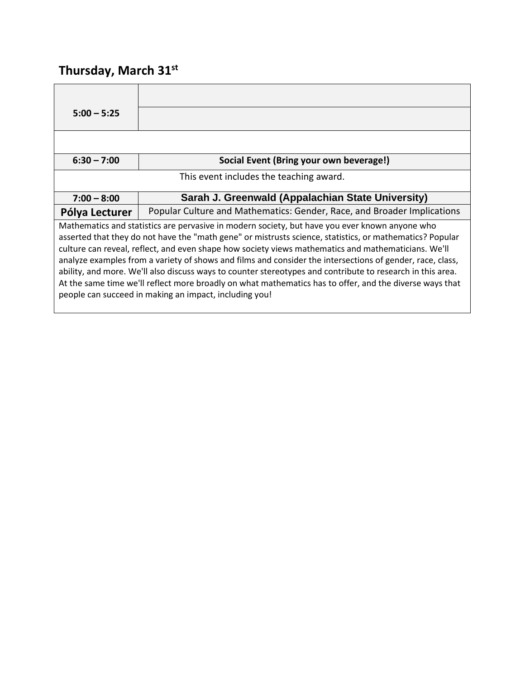# **Thursday, March 31st**

| $5:00 - 5:25$                                                                                                                                                                                                                                                                                                                                                                                                                                                                                                                                                                                                                                                                                                     |                                                                         |
|-------------------------------------------------------------------------------------------------------------------------------------------------------------------------------------------------------------------------------------------------------------------------------------------------------------------------------------------------------------------------------------------------------------------------------------------------------------------------------------------------------------------------------------------------------------------------------------------------------------------------------------------------------------------------------------------------------------------|-------------------------------------------------------------------------|
|                                                                                                                                                                                                                                                                                                                                                                                                                                                                                                                                                                                                                                                                                                                   |                                                                         |
| $6:30 - 7:00$                                                                                                                                                                                                                                                                                                                                                                                                                                                                                                                                                                                                                                                                                                     | Social Event (Bring your own beverage!)                                 |
|                                                                                                                                                                                                                                                                                                                                                                                                                                                                                                                                                                                                                                                                                                                   | This event includes the teaching award.                                 |
| $7:00 - 8:00$                                                                                                                                                                                                                                                                                                                                                                                                                                                                                                                                                                                                                                                                                                     | Sarah J. Greenwald (Appalachian State University)                       |
| Pólya Lecturer                                                                                                                                                                                                                                                                                                                                                                                                                                                                                                                                                                                                                                                                                                    | Popular Culture and Mathematics: Gender, Race, and Broader Implications |
| Mathematics and statistics are pervasive in modern society, but have you ever known anyone who<br>asserted that they do not have the "math gene" or mistrusts science, statistics, or mathematics? Popular<br>culture can reveal, reflect, and even shape how society views mathematics and mathematicians. We'll<br>analyze examples from a variety of shows and films and consider the intersections of gender, race, class,<br>ability, and more. We'll also discuss ways to counter stereotypes and contribute to research in this area.<br>At the same time we'll reflect more broadly on what mathematics has to offer, and the diverse ways that<br>people can succeed in making an impact, including you! |                                                                         |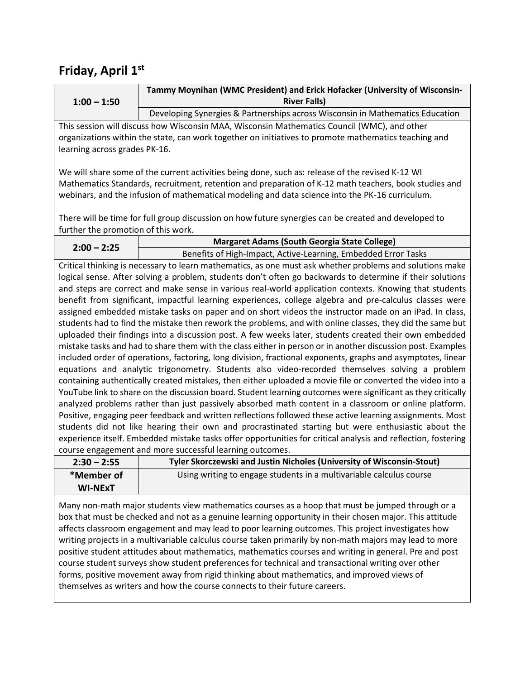|               | Tammy Moynihan (WMC President) and Erick Hofacker (University of Wisconsin-   |
|---------------|-------------------------------------------------------------------------------|
| $1:00 - 1:50$ | <b>River Falls</b>                                                            |
|               | Developing Synergies & Partnerships across Wisconsin in Mathematics Education |

This session will discuss how Wisconsin MAA, Wisconsin Mathematics Council (WMC), and other organizations within the state, can work together on initiatives to promote mathematics teaching and learning across grades PK-16.

We will share some of the current activities being done, such as: release of the revised K-12 WI Mathematics Standards, recruitment, retention and preparation of K-12 math teachers, book studies and webinars, and the infusion of mathematical modeling and data science into the PK-16 curriculum.

There will be time for full group discussion on how future synergies can be created and developed to further the promotion of this work.

| $2:00 - 2:25$ | Margaret Adams (South Georgia State College)                   |
|---------------|----------------------------------------------------------------|
|               | Benefits of High-Impact, Active-Learning, Embedded Error Tasks |

Critical thinking is necessary to learn mathematics, as one must ask whether problems and solutions make logical sense. After solving a problem, students don't often go backwards to determine if their solutions and steps are correct and make sense in various real-world application contexts. Knowing that students benefit from significant, impactful learning experiences, college algebra and pre-calculus classes were assigned embedded mistake tasks on paper and on short videos the instructor made on an iPad. In class, students had to find the mistake then rework the problems, and with online classes, they did the same but uploaded their findings into a discussion post. A few weeks later, students created their own embedded mistake tasks and had to share them with the class either in person or in another discussion post. Examples included order of operations, factoring, long division, fractional exponents, graphs and asymptotes, linear equations and analytic trigonometry. Students also video-recorded themselves solving a problem containing authentically created mistakes, then either uploaded a movie file or converted the video into a YouTube link to share on the discussion board. Student learning outcomes were significant as they critically analyzed problems rather than just passively absorbed math content in a classroom or online platform. Positive, engaging peer feedback and written reflections followed these active learning assignments. Most students did not like hearing their own and procrastinated starting but were enthusiastic about the experience itself. Embedded mistake tasks offer opportunities for critical analysis and reflection, fostering course engagement and more successful learning outcomes.

| $2:30 - 2:55$  | Tyler Skorczewski and Justin Nicholes (University of Wisconsin-Stout) |
|----------------|-----------------------------------------------------------------------|
| *Member of     | Using writing to engage students in a multivariable calculus course   |
| <b>WI-NExT</b> |                                                                       |

Many non-math major students view mathematics courses as a hoop that must be jumped through or a box that must be checked and not as a genuine learning opportunity in their chosen major. This attitude affects classroom engagement and may lead to poor learning outcomes. This project investigates how writing projects in a multivariable calculus course taken primarily by non-math majors may lead to more positive student attitudes about mathematics, mathematics courses and writing in general. Pre and post course student surveys show student preferences for technical and transactional writing over other forms, positive movement away from rigid thinking about mathematics, and improved views of themselves as writers and how the course connects to their future careers.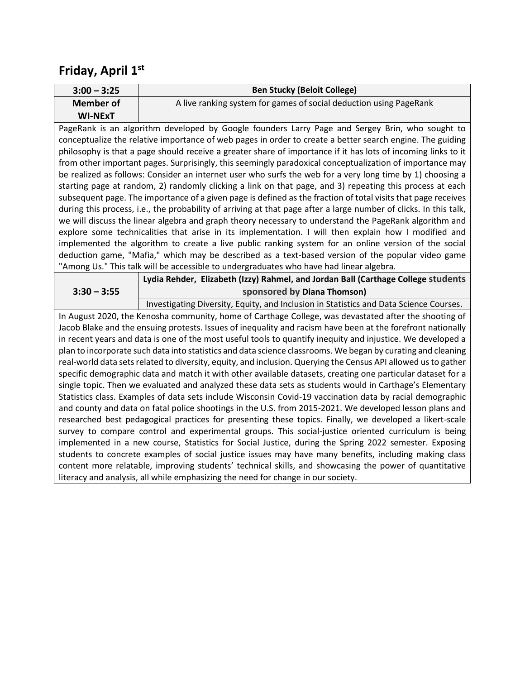| $3:00 - 3:25$  | <b>Ben Stucky (Beloit College)</b>                                 |
|----------------|--------------------------------------------------------------------|
| Member of      | A live ranking system for games of social deduction using PageRank |
| <b>WI-NExT</b> |                                                                    |

PageRank is an algorithm developed by Google founders Larry Page and Sergey Brin, who sought to conceptualize the relative importance of web pages in order to create a better search engine. The guiding philosophy is that a page should receive a greater share of importance if it has lots of incoming links to it from other important pages. Surprisingly, this seemingly paradoxical conceptualization of importance may be realized as follows: Consider an internet user who surfs the web for a very long time by 1) choosing a starting page at random, 2) randomly clicking a link on that page, and 3) repeating this process at each subsequent page. The importance of a given page is defined as the fraction of total visits that page receives during this process, i.e., the probability of arriving at that page after a large number of clicks. In this talk, we will discuss the linear algebra and graph theory necessary to understand the PageRank algorithm and explore some technicalities that arise in its implementation. I will then explain how I modified and implemented the algorithm to create a live public ranking system for an online version of the social deduction game, "Mafia," which may be described as a text-based version of the popular video game "Among Us." This talk will be accessible to undergraduates who have had linear algebra.

|               | Lydia Rehder, Elizabeth (Izzy) Rahmel, and Jordan Ball (Carthage College students        |
|---------------|------------------------------------------------------------------------------------------|
| $3:30 - 3:55$ | sponsored by Diana Thomson)                                                              |
|               | Tarrententale Miriaeth : Farith : said faileithe ta Chittitte said Nebe Ceteane Ceranice |

Investigating Diversity, Equity, and Inclusion in Statistics and Data Science Courses. In August 2020, the Kenosha community, home of Carthage College, was devastated after the shooting of Jacob Blake and the ensuing protests. Issues of inequality and racism have been at the forefront nationally in recent years and data is one of the most useful tools to quantify inequity and injustice. We developed a plan to incorporate such data into statistics and data science classrooms. We began by curating and cleaning real-world data sets related to diversity, equity, and inclusion. Querying the Census API allowed us to gather specific demographic data and match it with other available datasets, creating one particular dataset for a single topic. Then we evaluated and analyzed these data sets as students would in Carthage's Elementary Statistics class. Examples of data sets include Wisconsin Covid-19 vaccination data by racial demographic and county and data on fatal police shootings in the U.S. from 2015-2021. We developed lesson plans and researched best pedagogical practices for presenting these topics. Finally, we developed a likert-scale survey to compare control and experimental groups. This social-justice oriented curriculum is being implemented in a new course, Statistics for Social Justice, during the Spring 2022 semester. Exposing students to concrete examples of social justice issues may have many benefits, including making class content more relatable, improving students' technical skills, and showcasing the power of quantitative literacy and analysis, all while emphasizing the need for change in our society.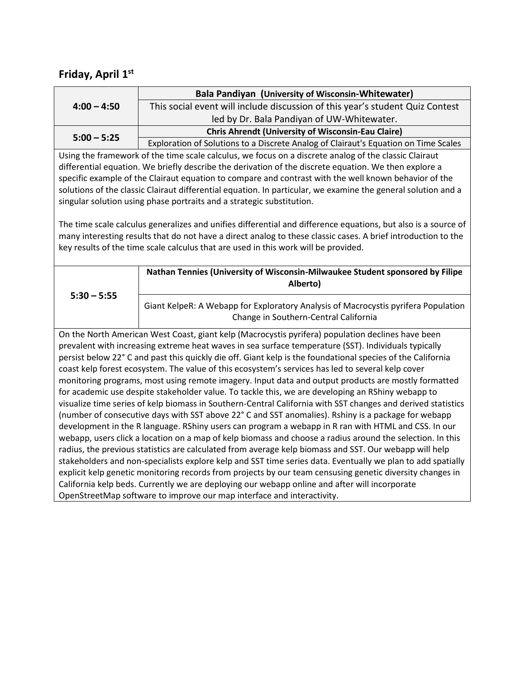|               | Bala Pandiyan (University of Wisconsin-Whitewater)                                  |
|---------------|-------------------------------------------------------------------------------------|
| $4:00 - 4:50$ | This social event will include discussion of this year's student Quiz Contest       |
|               | led by Dr. Bala Pandiyan of UW-Whitewater.                                          |
| $5:00 - 5:25$ | <b>Chris Ahrendt (University of Wisconsin-Eau Claire)</b>                           |
|               | Exploration of Solutions to a Discrete Analog of Clairaut's Equation on Time Scales |

Using the framework of the time scale calculus, we focus on a discrete analog of the classic Clairaut differential equation. We briefly describe the derivation of the discrete equation. We then explore a specific example of the Clairaut equation to compare and contrast with the well known behavior of the solutions of the classic Clairaut differential equation. In particular, we examine the general solution and a singular solution using phase portraits and a strategic substitution.

The time scale calculus generalizes and unifies differential and difference equations, but also is a source of many interesting results that do not have a direct analog to these classic cases. A brief introduction to the key results of the time scale calculus that are used in this work will be provided.

| $5:30 - 5:55$ | Nathan Tennies (University of Wisconsin-Milwaukee Student sponsored by Filipe<br>Alberto)                                   |
|---------------|-----------------------------------------------------------------------------------------------------------------------------|
|               | Giant KelpeR: A Webapp for Exploratory Analysis of Macrocystis pyrifera Population<br>Change in Southern-Central California |

On the North American West Coast, giant kelp (Macrocystis pyrifera) population declines have been prevalent with increasing extreme heat waves in sea surface temperature (SST). Individuals typically persist below 22° C and past this quickly die off. Giant kelp is the foundational species of the California coast kelp forest ecosystem. The value of this ecosystem's services has led to several kelp cover monitoring programs, most using remote imagery. Input data and output products are mostly formatted for academic use despite stakeholder value. To tackle this, we are developing an RShiny webapp to visualize time series of kelp biomass in Southern-Central California with SST changes and derived statistics (number of consecutive days with SST above 22° C and SST anomalies). Rshiny is a package for webapp development in the R language. RShiny users can program a webapp in R ran with HTML and CSS. In our webapp, users click a location on a map of kelp biomass and choose a radius around the selection. In this radius, the previous statistics are calculated from average kelp biomass and SST. Our webapp will help stakeholders and non-specialists explore kelp and SST time series data. Eventually we plan to add spatially explicit kelp genetic monitoring records from projects by our team censusing genetic diversity changes in California kelp beds. Currently we are deploying our webapp online and after will incorporate OpenStreetMap software to improve our map interface and interactivity.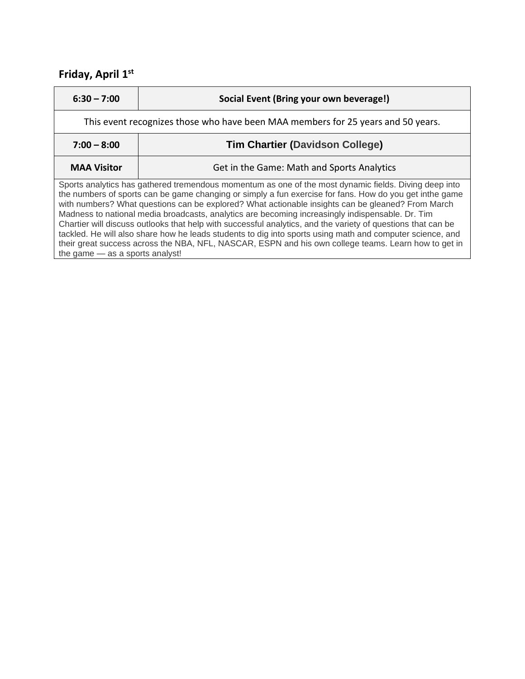| $6:30 - 7:00$                                                                                                                                                                                                                                                                                                                                                                                                                                                                                                                                                                                                                                                                                                                                                                                     | Social Event (Bring your own beverage!)    |  |
|---------------------------------------------------------------------------------------------------------------------------------------------------------------------------------------------------------------------------------------------------------------------------------------------------------------------------------------------------------------------------------------------------------------------------------------------------------------------------------------------------------------------------------------------------------------------------------------------------------------------------------------------------------------------------------------------------------------------------------------------------------------------------------------------------|--------------------------------------------|--|
| This event recognizes those who have been MAA members for 25 years and 50 years.                                                                                                                                                                                                                                                                                                                                                                                                                                                                                                                                                                                                                                                                                                                  |                                            |  |
| $7:00 - 8:00$                                                                                                                                                                                                                                                                                                                                                                                                                                                                                                                                                                                                                                                                                                                                                                                     | <b>Tim Chartier (Davidson College)</b>     |  |
| <b>MAA Visitor</b>                                                                                                                                                                                                                                                                                                                                                                                                                                                                                                                                                                                                                                                                                                                                                                                | Get in the Game: Math and Sports Analytics |  |
| Sports analytics has gathered tremendous momentum as one of the most dynamic fields. Diving deep into<br>the numbers of sports can be game changing or simply a fun exercise for fans. How do you get inthe game<br>with numbers? What questions can be explored? What actionable insights can be gleaned? From March<br>Madness to national media broadcasts, analytics are becoming increasingly indispensable. Dr. Tim<br>Chartier will discuss outlooks that help with successful analytics, and the variety of questions that can be<br>tackled. He will also share how he leads students to dig into sports using math and computer science, and<br>their great success across the NBA, NFL, NASCAR, ESPN and his own college teams. Learn how to get in<br>the game - as a sports analyst! |                                            |  |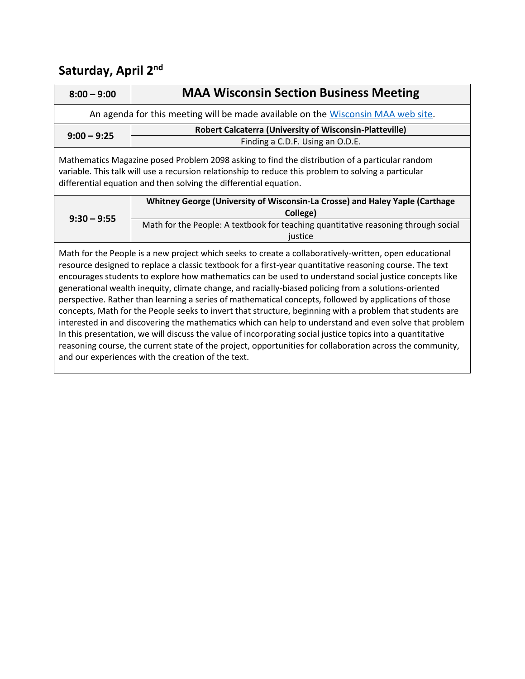| $8:00 - 9:00$                                                                                                                                                                                                                                                                                                               | <b>MAA Wisconsin Section Business Meeting</b>                                                      |  |
|-----------------------------------------------------------------------------------------------------------------------------------------------------------------------------------------------------------------------------------------------------------------------------------------------------------------------------|----------------------------------------------------------------------------------------------------|--|
|                                                                                                                                                                                                                                                                                                                             | An agenda for this meeting will be made available on the Wisconsin MAA web site.                   |  |
| $9:00 - 9:25$                                                                                                                                                                                                                                                                                                               | <b>Robert Calcaterra (University of Wisconsin-Platteville)</b><br>Finding a C.D.F. Using an O.D.E. |  |
| Mathematics Magazine posed Problem 2098 asking to find the distribution of a particular random<br>variable. This talk will use a recursion relationship to reduce this problem to solving a particular<br>differential equation and then solving the differential equation.                                                 |                                                                                                    |  |
| $9:30 - 9:55$                                                                                                                                                                                                                                                                                                               | Whitney George (University of Wisconsin-La Crosse) and Haley Yaple (Carthage<br>College)           |  |
|                                                                                                                                                                                                                                                                                                                             | Math for the People: A textbook for teaching quantitative reasoning through social<br>justice      |  |
| Math for the People is a new project which seeks to create a collaboratively-written, open educational<br>resource designed to replace a classic textbook for a first-year quantitative reasoning course. The text<br>encourages students to explore how mathematics can be used to understand social justice concepts like |                                                                                                    |  |

generational wealth inequity, climate change, and racially-biased policing from a solutions-oriented perspective. Rather than learning a series of mathematical concepts, followed by applications of those concepts, Math for the People seeks to invert that structure, beginning with a problem that students are interested in and discovering the mathematics which can help to understand and even solve that problem In this presentation, we will discuss the value of incorporating social justice topics into a quantitative reasoning course, the current state of the project, opportunities for collaboration across the community, and our experiences with the creation of the text.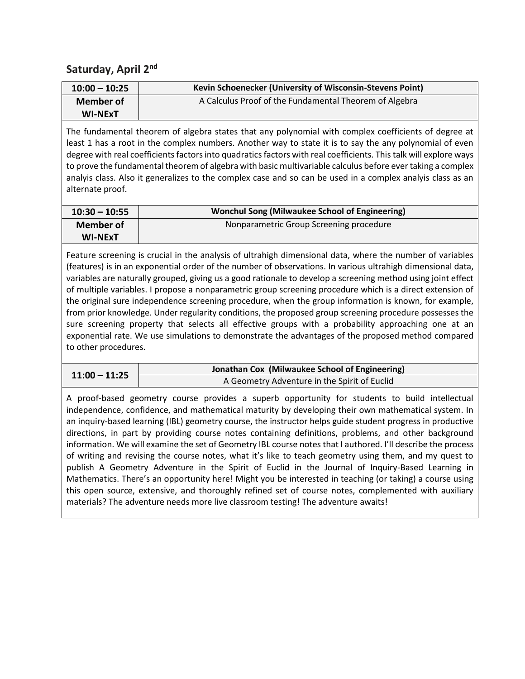| $10:00 - 10:25$  | Kevin Schoenecker (University of Wisconsin-Stevens Point) |
|------------------|-----------------------------------------------------------|
| <b>Member of</b> | A Calculus Proof of the Fundamental Theorem of Algebra    |
| <b>WI-NExT</b>   |                                                           |

The fundamental theorem of algebra states that any polynomial with complex coefficients of degree at least 1 has a root in the complex numbers. Another way to state it is to say the any polynomial of even degree with real coefficients factors into quadratics factors with real coefficients. This talk will explore ways to prove the fundamental theorem of algebra with basic multivariable calculus before ever taking a complex analyis class. Also it generalizes to the complex case and so can be used in a complex analyis class as an alternate proof.

| $10:30 - 10:55$ | Wonchul Song (Milwaukee School of Engineering) |
|-----------------|------------------------------------------------|
| Member of       | Nonparametric Group Screening procedure        |
| <b>WI-NExT</b>  |                                                |

Feature screening is crucial in the analysis of ultrahigh dimensional data, where the number of variables (features) is in an exponential order of the number of observations. In various ultrahigh dimensional data, variables are naturally grouped, giving us a good rationale to develop a screening method using joint effect of multiple variables. I propose a nonparametric group screening procedure which is a direct extension of the original sure independence screening procedure, when the group information is known, for example, from prior knowledge. Under regularity conditions, the proposed group screening procedure possesses the sure screening property that selects all effective groups with a probability approaching one at an exponential rate. We use simulations to demonstrate the advantages of the proposed method compared to other procedures.

| Jonathan Cox (Milwaukee School of Engineering)                  |  |
|-----------------------------------------------------------------|--|
| $11:00 - 11:25$<br>A Geometry Adventure in the Spirit of Euclid |  |

A proof-based geometry course provides a superb opportunity for students to build intellectual independence, confidence, and mathematical maturity by developing their own mathematical system. In an inquiry-based learning (IBL) geometry course, the instructor helps guide student progress in productive directions, in part by providing course notes containing definitions, problems, and other background information. We will examine the set of Geometry IBL course notes that I authored. I'll describe the process of writing and revising the course notes, what it's like to teach geometry using them, and my quest to publish A Geometry Adventure in the Spirit of Euclid in the Journal of Inquiry-Based Learning in Mathematics. There's an opportunity here! Might you be interested in teaching (or taking) a course using this open source, extensive, and thoroughly refined set of course notes, complemented with auxiliary materials? The adventure needs more live classroom testing! The adventure awaits!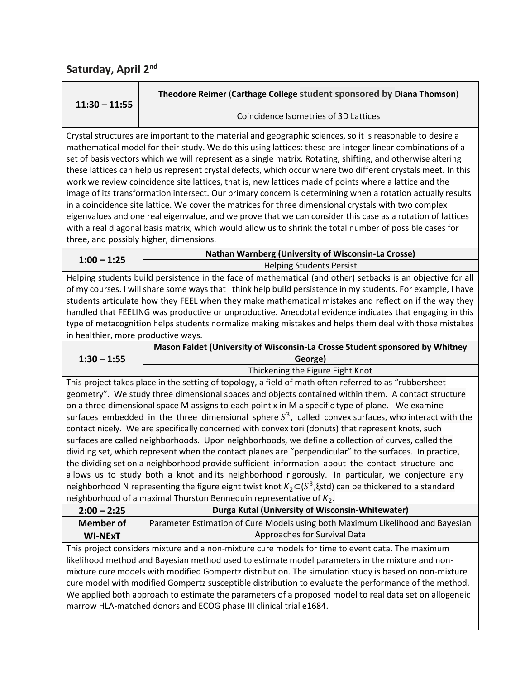| $11:30 - 11:55$                                                                                                                                                                                                                                                                                                                                                                                                                                                                                                                                                                                                                                                                                                                                                                                                                                                                                                                                                                                                                                                                                                                                              | Theodore Reimer (Carthage College student sponsored by Diana Thomson)                                          |  |
|--------------------------------------------------------------------------------------------------------------------------------------------------------------------------------------------------------------------------------------------------------------------------------------------------------------------------------------------------------------------------------------------------------------------------------------------------------------------------------------------------------------------------------------------------------------------------------------------------------------------------------------------------------------------------------------------------------------------------------------------------------------------------------------------------------------------------------------------------------------------------------------------------------------------------------------------------------------------------------------------------------------------------------------------------------------------------------------------------------------------------------------------------------------|----------------------------------------------------------------------------------------------------------------|--|
|                                                                                                                                                                                                                                                                                                                                                                                                                                                                                                                                                                                                                                                                                                                                                                                                                                                                                                                                                                                                                                                                                                                                                              | Coincidence Isometries of 3D Lattices                                                                          |  |
| Crystal structures are important to the material and geographic sciences, so it is reasonable to desire a<br>mathematical model for their study. We do this using lattices: these are integer linear combinations of a<br>set of basis vectors which we will represent as a single matrix. Rotating, shifting, and otherwise altering<br>these lattices can help us represent crystal defects, which occur where two different crystals meet. In this<br>work we review coincidence site lattices, that is, new lattices made of points where a lattice and the<br>image of its transformation intersect. Our primary concern is determining when a rotation actually results<br>in a coincidence site lattice. We cover the matrices for three dimensional crystals with two complex<br>eigenvalues and one real eigenvalue, and we prove that we can consider this case as a rotation of lattices<br>with a real diagonal basis matrix, which would allow us to shrink the total number of possible cases for<br>three, and possibly higher, dimensions.                                                                                                   |                                                                                                                |  |
| $1:00 - 1:25$                                                                                                                                                                                                                                                                                                                                                                                                                                                                                                                                                                                                                                                                                                                                                                                                                                                                                                                                                                                                                                                                                                                                                | Nathan Warnberg (University of Wisconsin-La Crosse)                                                            |  |
|                                                                                                                                                                                                                                                                                                                                                                                                                                                                                                                                                                                                                                                                                                                                                                                                                                                                                                                                                                                                                                                                                                                                                              | <b>Helping Students Persist</b>                                                                                |  |
| Helping students build persistence in the face of mathematical (and other) setbacks is an objective for all<br>of my courses. I will share some ways that I think help build persistence in my students. For example, I have<br>students articulate how they FEEL when they make mathematical mistakes and reflect on if the way they<br>handled that FEELING was productive or unproductive. Anecdotal evidence indicates that engaging in this<br>type of metacognition helps students normalize making mistakes and helps them deal with those mistakes<br>in healthier, more productive ways.                                                                                                                                                                                                                                                                                                                                                                                                                                                                                                                                                            |                                                                                                                |  |
|                                                                                                                                                                                                                                                                                                                                                                                                                                                                                                                                                                                                                                                                                                                                                                                                                                                                                                                                                                                                                                                                                                                                                              | Mason Faldet (University of Wisconsin-La Crosse Student sponsored by Whitney                                   |  |
| $1:30 - 1:55$                                                                                                                                                                                                                                                                                                                                                                                                                                                                                                                                                                                                                                                                                                                                                                                                                                                                                                                                                                                                                                                                                                                                                | George)                                                                                                        |  |
|                                                                                                                                                                                                                                                                                                                                                                                                                                                                                                                                                                                                                                                                                                                                                                                                                                                                                                                                                                                                                                                                                                                                                              | Thickening the Figure Eight Knot                                                                               |  |
| This project takes place in the setting of topology, a field of math often referred to as "rubbersheet<br>geometry". We study three dimensional spaces and objects contained within them. A contact structure<br>on a three dimensional space M assigns to each point x in M a specific type of plane. We examine<br>surfaces embedded in the three dimensional sphere $S^3$ , called convex surfaces, who interact with the<br>contact nicely. We are specifically concerned with convex tori (donuts) that represent knots, such<br>surfaces are called neighborhoods. Upon neighborhoods, we define a collection of curves, called the<br>dividing set, which represent when the contact planes are "perpendicular" to the surfaces. In practice,<br>the dividing set on a neighborhood provide sufficient information about the contact structure and<br>allows us to study both a knot and its neighborhood rigorously. In particular, we conjecture any<br>neighborhood N representing the figure eight twist knot $K_2\simeq (S^3,\xi)$ std) can be thickened to a standard<br>neighborhood of a maximal Thurston Bennequin representative of $K_2$ . |                                                                                                                |  |
| $2:00 - 2:25$                                                                                                                                                                                                                                                                                                                                                                                                                                                                                                                                                                                                                                                                                                                                                                                                                                                                                                                                                                                                                                                                                                                                                | Durga Kutal (University of Wisconsin-Whitewater)                                                               |  |
| <b>Member of</b><br><b>WI-NExT</b>                                                                                                                                                                                                                                                                                                                                                                                                                                                                                                                                                                                                                                                                                                                                                                                                                                                                                                                                                                                                                                                                                                                           | Parameter Estimation of Cure Models using both Maximum Likelihood and Bayesian<br>Approaches for Survival Data |  |
| This project considers mixture and a non-mixture cure models for time to event data. The maximum<br>likelihood method and Bayesian method used to estimate model parameters in the mixture and non-<br>mixture cure models with modified Gompertz distribution. The simulation study is based on non-mixture<br>cure model with modified Gompertz susceptible distribution to evaluate the performance of the method.<br>We applied both approach to estimate the parameters of a proposed model to real data set on allogeneic<br>marrow HLA-matched donors and ECOG phase III clinical trial e1684.                                                                                                                                                                                                                                                                                                                                                                                                                                                                                                                                                        |                                                                                                                |  |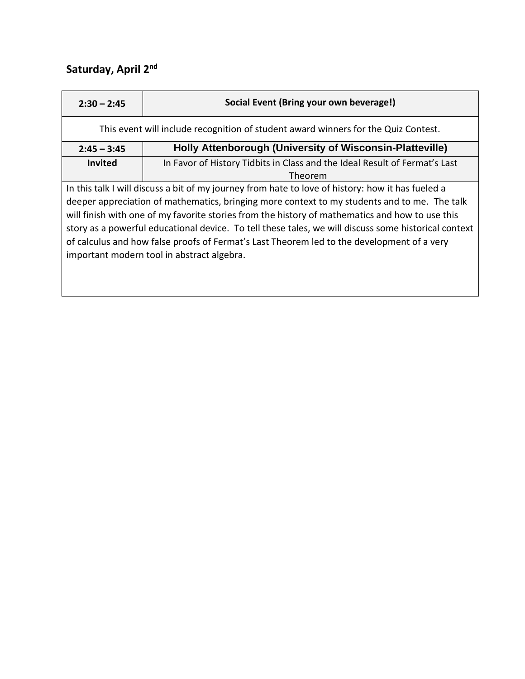| $2:30 - 2:45$                                                                                        | Social Event (Bring your own beverage!)                                    |  |
|------------------------------------------------------------------------------------------------------|----------------------------------------------------------------------------|--|
| This event will include recognition of student award winners for the Quiz Contest.                   |                                                                            |  |
| $2:45 - 3:45$                                                                                        | Holly Attenborough (University of Wisconsin-Platteville)                   |  |
| <b>Invited</b>                                                                                       | In Favor of History Tidbits in Class and the Ideal Result of Fermat's Last |  |
|                                                                                                      | Theorem                                                                    |  |
| In this talk I will discuss a bit of my journey from hate to love of history: how it has fueled a    |                                                                            |  |
| deeper appreciation of mathematics, bringing more context to my students and to me. The talk         |                                                                            |  |
| will finish with one of my favorite stories from the history of mathematics and how to use this      |                                                                            |  |
| story as a powerful educational device. To tell these tales, we will discuss some historical context |                                                                            |  |
| of calculus and how false proofs of Fermat's Last Theorem led to the development of a very           |                                                                            |  |
| important modern tool in abstract algebra.                                                           |                                                                            |  |
|                                                                                                      |                                                                            |  |

<u> 1989 - Andrea Station Andrea Station (m. 1989)</u>